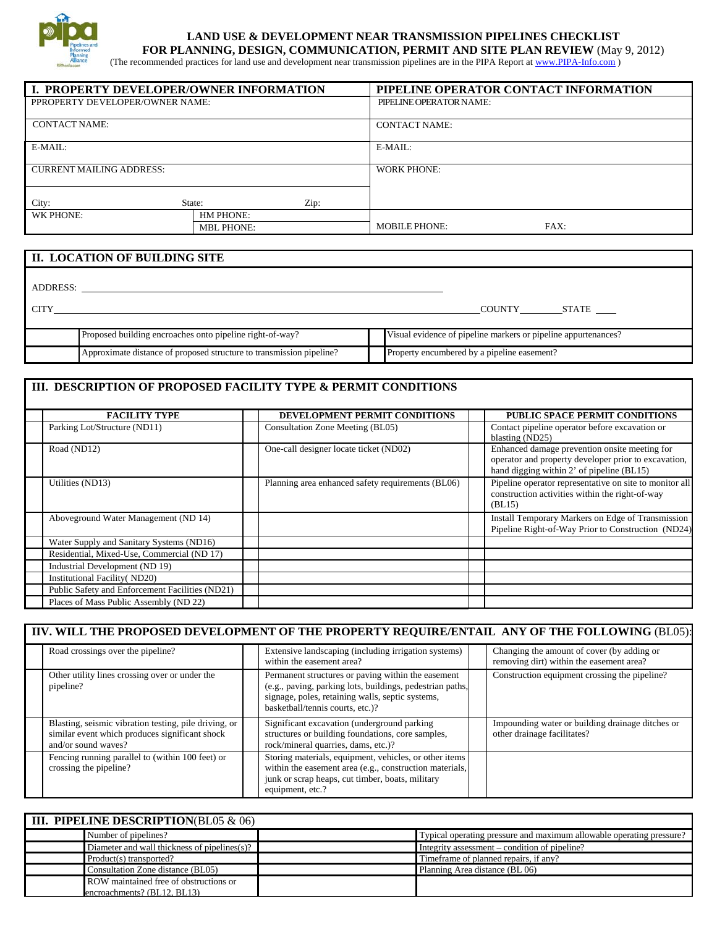

## **LAND USE & DEVELOPMENT NEAR TRANSMISSION PIPELINES CHECKLIST FOR PLANNING, DESIGN, COMMUNICATION, PERMIT AND SITE PLAN REVIEW** (May 9, 2012)

(The recommended practices for land use and development near transmission pipelines are in the PIPA Report at www.PIPA-Info.com )

| <b>I I. PROPERTY DEVELOPER/OWNER INFORMATION</b> |                   | PIPELINE OPERATOR CONTACT INFORMATION |  |  |
|--------------------------------------------------|-------------------|---------------------------------------|--|--|
| PPROPERTY DEVELOPER/OWNER NAME:                  |                   | PIPELINE OPERATOR NAME:               |  |  |
|                                                  |                   |                                       |  |  |
| <b>CONTACT NAME:</b>                             |                   | <b>CONTACT NAME:</b>                  |  |  |
|                                                  |                   |                                       |  |  |
| E-MAIL:                                          |                   | $E-MAIL:$                             |  |  |
|                                                  |                   |                                       |  |  |
| <b>CURRENT MAILING ADDRESS:</b>                  |                   | <b>WORK PHONE:</b>                    |  |  |
|                                                  |                   |                                       |  |  |
|                                                  |                   |                                       |  |  |
| City:<br>State:                                  | Zip:              |                                       |  |  |
| WK PHONE:                                        | HM PHONE:         |                                       |  |  |
|                                                  | <b>MBL PHONE:</b> | <b>MOBILE PHONE:</b><br>FAX:          |  |  |

|             | II. LOCATION OF BUILDING SITE                                        |                                                                |
|-------------|----------------------------------------------------------------------|----------------------------------------------------------------|
| ADDRESS:    |                                                                      |                                                                |
| <b>CITY</b> |                                                                      | COUNTY STATE                                                   |
|             | Proposed building encroaches onto pipeline right-of-way?             | Visual evidence of pipeline markers or pipeline appurtenances? |
|             | Approximate distance of proposed structure to transmission pipeline? | Property encumbered by a pipeline easement?                    |

## **III. DESCRIPTION OF PROPOSED FACILITY TYPE & PERMIT CONDITIONS**

| <b>FACILITY TYPE</b>                            | DEVELOPMENT PERMIT CONDITIONS                     | PUBLIC SPACE PERMIT CONDITIONS                                                                                                                     |
|-------------------------------------------------|---------------------------------------------------|----------------------------------------------------------------------------------------------------------------------------------------------------|
| Parking Lot/Structure (ND11)                    | Consultation Zone Meeting (BL05)                  | Contact pipeline operator before excavation or<br>blasting (ND25)                                                                                  |
| Road (ND12)                                     | One-call designer locate ticket (ND02)            | Enhanced damage prevention onsite meeting for<br>operator and property developer prior to excavation,<br>hand digging within 2' of pipeline (BL15) |
| Utilities (ND13)                                | Planning area enhanced safety requirements (BL06) | Pipeline operator representative on site to monitor all<br>construction activities within the right-of-way<br>(BL15)                               |
| Aboveground Water Management (ND 14)            |                                                   | Install Temporary Markers on Edge of Transmission<br>Pipeline Right-of-Way Prior to Construction (ND24)                                            |
| Water Supply and Sanitary Systems (ND16)        |                                                   |                                                                                                                                                    |
| Residential, Mixed-Use, Commercial (ND 17)      |                                                   |                                                                                                                                                    |
| Industrial Development (ND 19)                  |                                                   |                                                                                                                                                    |
| Institutional Facility (ND20)                   |                                                   |                                                                                                                                                    |
| Public Safety and Enforcement Facilities (ND21) |                                                   |                                                                                                                                                    |
| Places of Mass Public Assembly (ND 22)          |                                                   |                                                                                                                                                    |

|                                                                                                                                | IIV. WILL THE PROPOSED DEVELOPMENT OF THE PROPERTY REQUIRE/ENTAIL ANY OF THE FOLLOWING (BL05):                                                                                                          |                                                                                        |
|--------------------------------------------------------------------------------------------------------------------------------|---------------------------------------------------------------------------------------------------------------------------------------------------------------------------------------------------------|----------------------------------------------------------------------------------------|
| Road crossings over the pipeline?                                                                                              | Extensive landscaping (including irrigation systems)<br>within the easement area?                                                                                                                       | Changing the amount of cover (by adding or<br>removing dirt) within the easement area? |
| Other utility lines crossing over or under the<br>pipeline?                                                                    | Permanent structures or paving within the easement<br>(e.g., paving, parking lots, buildings, pedestrian paths,<br>signage, poles, retaining walls, septic systems,<br>basketball/tennis courts, etc.)? | Construction equipment crossing the pipeline?                                          |
| Blasting, seismic vibration testing, pile driving, or<br>similar event which produces significant shock<br>and/or sound waves? | Significant excavation (underground parking)<br>structures or building foundations, core samples,<br>rock/mineral quarries, dams, etc.)?                                                                | Impounding water or building drainage ditches or<br>other drainage facilitates?        |
| Fencing running parallel to (within 100 feet) or<br>crossing the pipeline?                                                     | Storing materials, equipment, vehicles, or other items<br>within the easement area (e.g., construction materials,<br>junk or scrap heaps, cut timber, boats, military<br>equipment, etc.?               |                                                                                        |

| <b>III. PIPELINE DESCRIPTION(BL05 <math>\&amp;</math> 06)</b> |  |                                                                      |  |
|---------------------------------------------------------------|--|----------------------------------------------------------------------|--|
| Number of pipelines?                                          |  | Typical operating pressure and maximum allowable operating pressure? |  |
| Diameter and wall thickness of pipelines(s)?                  |  | Integrity assessment – condition of pipeline?                        |  |
| Product(s) transported?                                       |  | Time frame of planned repairs, if any?                               |  |
| Consultation Zone distance (BL05)                             |  | Planning Area distance (BL 06)                                       |  |
| ROW maintained free of obstructions or                        |  |                                                                      |  |
| encroachments? (BL12, BL13)                                   |  |                                                                      |  |